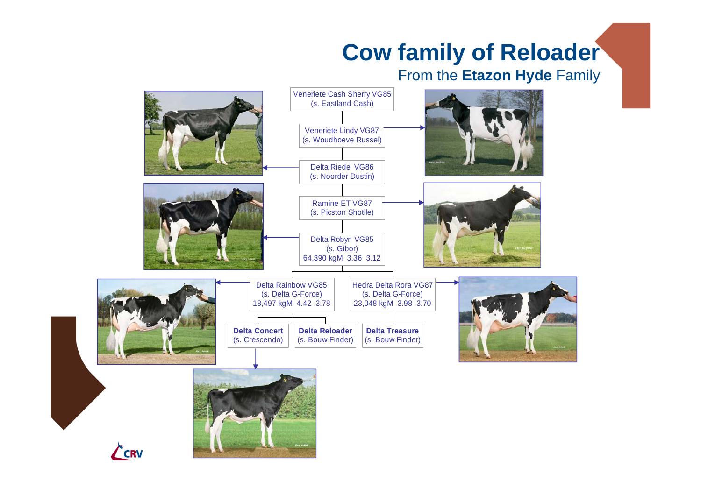## **Cow family of Reloader**

## From the **Etazon Hyde** Family